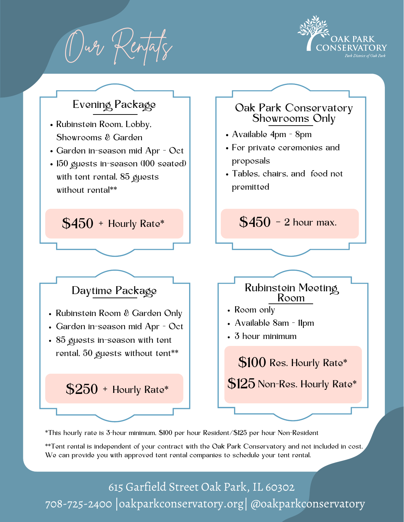Our Rentals





\*This hourly rate is 3-hour minimum, \$100 per hour Resident/\$125 per hour Non-Resident

\*\*Tent rental is independent of your contract with the Oak Park Conservatory and not included in cost. We can provide you with approved tent rental companies to schedule your tent rental.

615 Garfield Street Oak Park, IL 60302 708-725-2400 |oakparkconservatory.org| @oakparkconservatory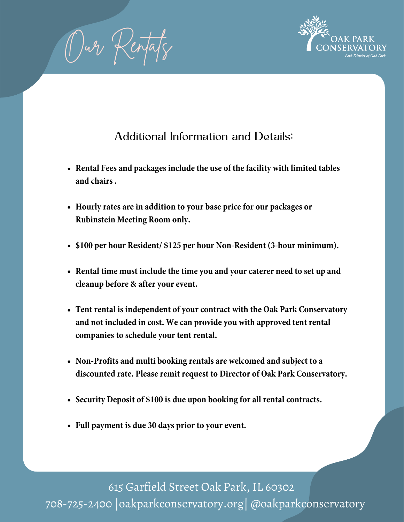Our Rentals



# Additional Information and Details:

- **Rental Fees and packages include the use of the facility with limited tables and chairs .**
- **Hourly rates are in addition to your base price for our packages or Rubinstein Meeting Room only.**
- **\$100 per hour Resident/ \$125 per hour Non-Resident (3-hour minimum).**
- **Rental time must include the time you and yourcaterer need to set up and cleanup before & after your event.**
- **Tent rental is independent of yourcontract with the Oak Park Conservatory and not included in cost. We can provide you with approved tent rental companies to schedule your tent rental.**
- **Non-Profits and multi booking rentals are welcomed and subject to a discounted rate. Please remit request to Director of Oak Park Conservatory.**
- **Security Deposit of \$100 is due upon booking for all rentalcontracts.**
- **Full payment is due 30 days prior to your event.**

615 Garfield Street Oak Park, IL 60302 708-725-2400 |oakparkconservatory.org| @oakparkconservatory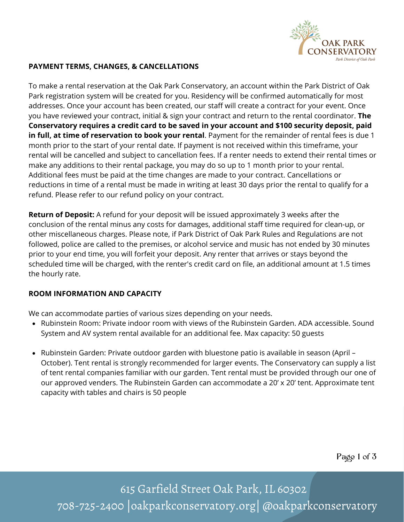

## **PAYMENT TERMS, CHANGES, & CANCELLATIONS**

To make a rental reservation at the Oak Park Conservatory, an account within the Park District of Oak Park registration system will be created for you. Residency will be confirmed automatically for most addresses. Once your account has been created, our staff will create a contract for your event. Once you have reviewed your contract, initial & sign your contract and return to the rental coordinator. **The Conservatory requires a credit card to be saved in your account and \$100 security deposit, paid in full, at time of reservation to book your rental**. Payment for the remainder of rental fees is due 1 month prior to the start of your rental date. If payment is not received within this timeframe, your rental will be cancelled and subject to cancellation fees. If a renter needs to extend their rental times or make any additions to their rental package, you may do so up to 1 month prior to your rental. Additional fees must be paid at the time changes are made to your contract. Cancellations or reductions in time of a rental must be made in writing at least 30 days prior the rental to qualify for a refund. Please refer to our refund policy on your contract.

**Return of Deposit:** A refund for your deposit will be issued approximately 3 weeks after the conclusion of the rental minus any costs for damages, additional staff time required for clean-up, or other miscellaneous charges. Please note, if Park District of Oak Park Rules and Regulations are not followed, police are called to the premises, or alcohol service and music has not ended by 30 minutes prior to your end time, you will forfeit your deposit. Any renter that arrives or stays beyond the scheduled time will be charged, with the renter's credit card on file, an additional amount at 1.5 times the hourly rate.

# **ROOM INFORMATION AND CAPACITY**

We can accommodate parties of various sizes depending on your needs.

- Rubinstein Room: Private indoor room with views of the Rubinstein Garden. ADA accessible. Sound System and AV system rental available for an additional fee. Max capacity: 50 guests
- Rubinstein Garden: Private outdoor garden with bluestone patio is available in season (April October). Tent rental is strongly recommended for larger events. The Conservatory can supply a list of tent rental companies familiar with our garden. Tent rental must be provided through our one of our approved venders. The Rubinstein Garden can accommodate a 20' x 20' tent. Approximate tent capacity with tables and chairs is 50 people

Page 1 of 3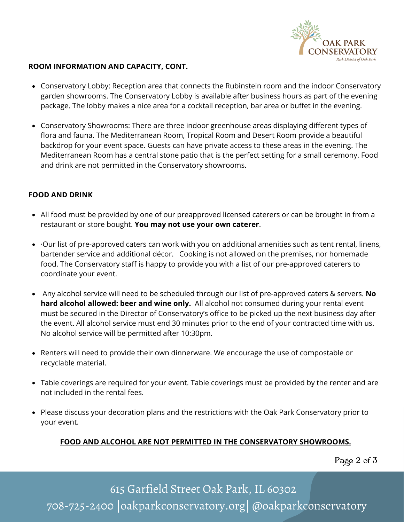

## **ROOM INFORMATION AND CAPACITY, CONT.**

- Conservatory Lobby: Reception area that connects the Rubinstein room and the indoor Conservatory garden showrooms. The Conservatory Lobby is available after business hours as part of the evening package. The lobby makes a nice area for a cocktail reception, bar area or buffet in the evening.
- Conservatory Showrooms: There are three indoor greenhouse areas displaying different types of flora and fauna. The Mediterranean Room, Tropical Room and Desert Room provide a beautiful backdrop for your event space. Guests can have private access to these areas in the evening. The Mediterranean Room has a central stone patio that is the perfect setting for a small ceremony. Food and drink are not permitted in the Conservatory showrooms.

#### **FOOD AND DRINK**

- All food must be provided by one of our preapproved licensed caterers or can be brought in from a restaurant or store bought. **You may not use your own caterer**.
- ·Our list of pre-approved caters can work with you on additional amenities such as tent rental, linens, bartender service and additional décor. Cooking is not allowed on the premises, nor homemade food. The Conservatory staff is happy to provide you with a list of our pre-approved caterers to coordinate your event.
- Any alcohol service will need to be scheduled through our list of pre-approved caters & servers. **No hard alcohol allowed: beer and wine only.** All alcohol not consumed during your rental event must be secured in the Director of Conservatory's office to be picked up the next business day after the event. All alcohol service must end 30 minutes prior to the end of your contracted time with us. No alcohol service will be permitted after 10:30pm.
- Renters will need to provide their own dinnerware. We encourage the use of compostable or recyclable material.
- Table coverings are required for your event. Table coverings must be provided by the renter and are not included in the rental fees.
- Please discuss your decoration plans and the restrictions with the Oak Park Conservatory prior to your event.

# **FOOD AND ALCOHOL ARE NOT PERMITTED IN THE CONSERVATORY SHOWROOMS.**

Page 2 of 3